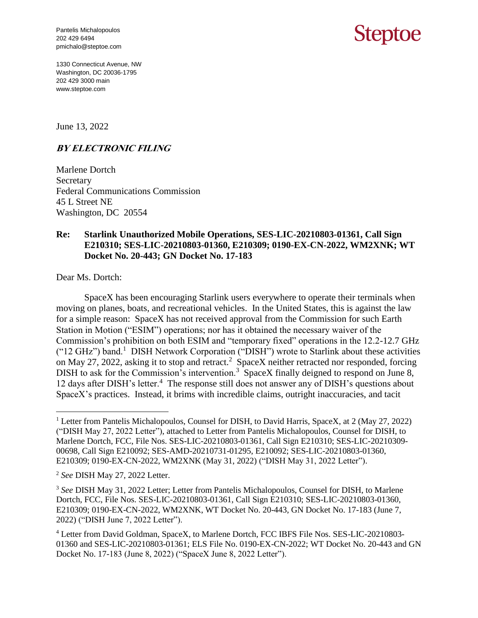Pantelis Michalopoulos 202 429 6494 pmichalo@steptoe.com

## Steptoe

1330 Connecticut Avenue, NW Washington, DC 20036-1795 202 429 3000 main www.steptoe.com

June 13, 2022

## **BY ELECTRONIC FILING**

Marlene Dortch Secretary Federal Communications Commission 45 L Street NE Washington, DC 20554

## **Re: Starlink Unauthorized Mobile Operations, SES-LIC-20210803-01361, Call Sign E210310; SES-LIC-20210803-01360, E210309; 0190-EX-CN-2022, WM2XNK; WT Docket No. 20-443; GN Docket No. 17-183**

Dear Ms. Dortch:

 $\overline{a}$ 

SpaceX has been encouraging Starlink users everywhere to operate their terminals when moving on planes, boats, and recreational vehicles. In the United States, this is against the law for a simple reason: SpaceX has not received approval from the Commission for such Earth Station in Motion ("ESIM") operations; nor has it obtained the necessary waiver of the Commission's prohibition on both ESIM and "temporary fixed" operations in the 12.2-12.7 GHz ("12 GHz") band.<sup>1</sup> DISH Network Corporation ("DISH") wrote to Starlink about these activities on May 27, 2022, asking it to stop and retract.<sup>2</sup> SpaceX neither retracted nor responded, forcing DISH to ask for the Commission's intervention.<sup>3</sup> SpaceX finally deigned to respond on June 8, 12 days after DISH's letter.<sup>4</sup> The response still does not answer any of DISH's questions about SpaceX's practices. Instead, it brims with incredible claims, outright inaccuracies, and tacit

<sup>&</sup>lt;sup>1</sup> Letter from Pantelis Michalopoulos, Counsel for DISH, to David Harris, SpaceX, at 2 (May 27, 2022) ("DISH May 27, 2022 Letter"), attached to Letter from Pantelis Michalopoulos, Counsel for DISH, to Marlene Dortch, FCC, File Nos. SES-LIC-20210803-01361, Call Sign E210310; SES-LIC-20210309- 00698, Call Sign E210092; SES-AMD-20210731-01295, E210092; SES-LIC-20210803-01360, E210309; 0190-EX-CN-2022, WM2XNK (May 31, 2022) ("DISH May 31, 2022 Letter").

<sup>2</sup> *See* DISH May 27, 2022 Letter.

<sup>3</sup> *See* DISH May 31, 2022 Letter; Letter from Pantelis Michalopoulos, Counsel for DISH, to Marlene Dortch, FCC, File Nos. SES-LIC-20210803-01361, Call Sign E210310; SES-LIC-20210803-01360, E210309; 0190-EX-CN-2022, WM2XNK, WT Docket No. 20-443, GN Docket No. 17-183 (June 7, 2022) ("DISH June 7, 2022 Letter").

<sup>4</sup> Letter from David Goldman, SpaceX, to Marlene Dortch, FCC IBFS File Nos. SES-LIC-20210803- 01360 and SES-LIC-20210803-01361; ELS File No. 0190-EX-CN-2022; WT Docket No. 20-443 and GN Docket No. 17-183 (June 8, 2022) ("SpaceX June 8, 2022 Letter").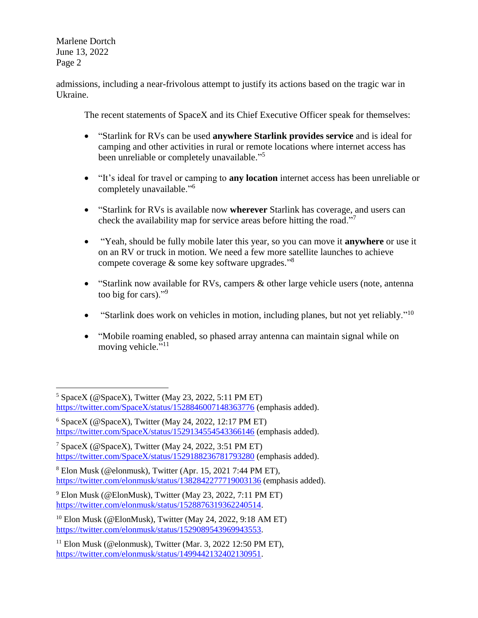$\overline{a}$ 

admissions, including a near-frivolous attempt to justify its actions based on the tragic war in Ukraine.

The recent statements of SpaceX and its Chief Executive Officer speak for themselves:

- "Starlink for RVs can be used **anywhere Starlink provides service** and is ideal for camping and other activities in rural or remote locations where internet access has been unreliable or completely unavailable."<sup>5</sup>
- "It's ideal for travel or camping to **any location** internet access has been unreliable or completely unavailable."<sup>6</sup>
- "Starlink for RVs is available now **wherever** Starlink has coverage, and users can check the availability map for service areas before hitting the road."<sup>7</sup>
- "Yeah, should be fully mobile later this year, so you can move it **anywhere** or use it on an RV or truck in motion. We need a few more satellite launches to achieve compete coverage  $\&$  some key software upgrades."<sup>8</sup>
- "Starlink now available for RVs, campers & other large vehicle users (note, antenna) too big for cars)."<sup>9</sup>
- "Starlink does work on vehicles in motion, including planes, but not yet reliably."<sup>10</sup>
- "Mobile roaming enabled, so phased array antenna can maintain signal while on moving vehicle."<sup>11</sup>

 $5$  SpaceX (@SpaceX), Twitter (May 23, 2022, 5:11 PM ET) <https://twitter.com/SpaceX/status/1528846007148363776> (emphasis added).

 $6$  SpaceX ( $@SpaceX$ ), Twitter (May 24, 2022, 12:17 PM ET) <https://twitter.com/SpaceX/status/1529134554543366146> (emphasis added).

<sup>&</sup>lt;sup>7</sup> SpaceX ( $@SpaceX$ ), Twitter (May 24, 2022, 3:51 PM ET) <https://twitter.com/SpaceX/status/1529188236781793280> (emphasis added).

<sup>8</sup> Elon Musk (@elonmusk), Twitter (Apr. 15, 2021 7:44 PM ET), <https://twitter.com/elonmusk/status/1382842277719003136> (emphasis added).

 $9$  Elon Musk (@ElonMusk), Twitter (May 23, 2022, 7:11 PM ET) [https://twitter.com/elonmusk/status/1528876319362240514.](https://twitter.com/elonmusk/status/1528876319362240514)

<sup>10</sup> Elon Musk (@ElonMusk), Twitter (May 24, 2022, 9:18 AM ET) [https://twitter.com/elonmusk/status/1529089543969943553.](https://twitter.com/elonmusk/status/1529089543969943553)

 $11$  Elon Musk (@elonmusk), Twitter (Mar. 3, 2022 12:50 PM ET), [https://twitter.com/elonmusk/status/1499442132402130951.](https://twitter.com/elonmusk/status/1499442132402130951)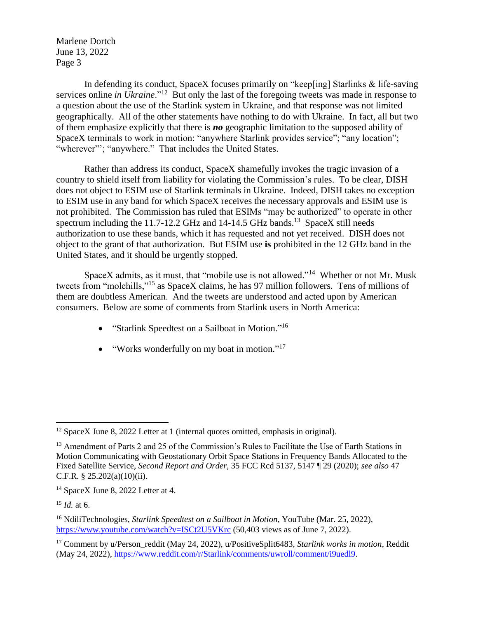In defending its conduct, SpaceX focuses primarily on "keep[ing] Starlinks & life-saving services online *in Ukraine*."<sup>12</sup> But only the last of the foregoing tweets was made in response to a question about the use of the Starlink system in Ukraine, and that response was not limited geographically. All of the other statements have nothing to do with Ukraine. In fact, all but two of them emphasize explicitly that there is *no* geographic limitation to the supposed ability of SpaceX terminals to work in motion: "anywhere Starlink provides service"; "any location"; "wherever"'; "anywhere." That includes the United States.

Rather than address its conduct, SpaceX shamefully invokes the tragic invasion of a country to shield itself from liability for violating the Commission's rules. To be clear, DISH does not object to ESIM use of Starlink terminals in Ukraine. Indeed, DISH takes no exception to ESIM use in any band for which SpaceX receives the necessary approvals and ESIM use is not prohibited. The Commission has ruled that ESIMs "may be authorized" to operate in other spectrum including the 11.7-12.2 GHz and 14-14.5 GHz bands.<sup>13</sup> SpaceX still needs authorization to use these bands, which it has requested and not yet received. DISH does not object to the grant of that authorization. But ESIM use **is** prohibited in the 12 GHz band in the United States, and it should be urgently stopped.

SpaceX admits, as it must, that "mobile use is not allowed."<sup>14</sup> Whether or not Mr. Musk tweets from "molehills,"<sup>15</sup> as SpaceX claims, he has 97 million followers. Tens of millions of them are doubtless American. And the tweets are understood and acted upon by American consumers. Below are some of comments from Starlink users in North America:

- "Starlink Speedtest on a Sailboat in Motion."<sup>16</sup>
- "Works wonderfully on my boat in motion."<sup>17</sup>

 $\overline{a}$ 

<sup>&</sup>lt;sup>12</sup> SpaceX June 8, 2022 Letter at 1 (internal quotes omitted, emphasis in original).

<sup>&</sup>lt;sup>13</sup> Amendment of Parts 2 and 25 of the Commission's Rules to Facilitate the Use of Earth Stations in Motion Communicating with Geostationary Orbit Space Stations in Frequency Bands Allocated to the Fixed Satellite Service, *Second Report and Order*, 35 FCC Rcd 5137, 5147 ¶ 29 (2020); *see also* 47 C.F.R. § 25.202(a)(10)(ii).

<sup>&</sup>lt;sup>14</sup> SpaceX June 8, 2022 Letter at 4.

<sup>15</sup> *Id.* at 6.

<sup>16</sup> NdiliTechnologies, *Starlink Speedtest on a Sailboat in Motion*, YouTube (Mar. 25, 2022), <https://www.youtube.com/watch?v=ISCt2U5VKrc> (50,403 views as of June 7, 2022).

<sup>&</sup>lt;sup>17</sup> Comment by u/Person\_reddit (May 24, 2022), u/PositiveSplit6483, *Starlink works in motion*, Reddit (May 24, 2022), [https://www.reddit.com/r/Starlink/comments/uwroll/comment/i9uedl9.](https://www.reddit.com/r/Starlink/comments/uwroll/comment/i9uedl9)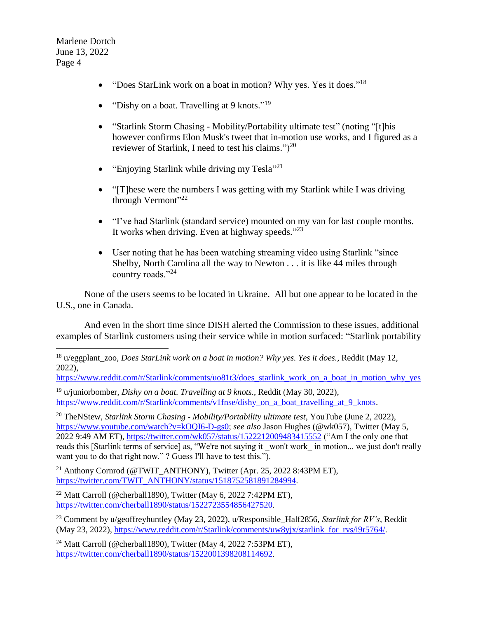- "Does StarLink work on a boat in motion? Why yes. Yes it does."<sup>18</sup>
- "Dishy on a boat. Travelling at 9 knots."<sup>19</sup>
- "Starlink Storm Chasing Mobility/Portability ultimate test" (noting "[t]his however confirms Elon Musk's tweet that in-motion use works, and I figured as a reviewer of Starlink, I need to test his claims." $)^{20}$
- "Enjoying Starlink while driving my Tesla"<sup>21</sup>
- "[T] hese were the numbers I was getting with my Starlink while I was driving through Vermont"<sup>22</sup>
- "I've had Starlink (standard service) mounted on my van for last couple months. It works when driving. Even at highway speeds."<sup>23</sup>
- User noting that he has been watching streaming video using Starlink "since" Shelby, North Carolina all the way to Newton . . . it is like 44 miles through country roads."<sup>24</sup>

None of the users seems to be located in Ukraine. All but one appear to be located in the U.S., one in Canada.

And even in the short time since DISH alerted the Commission to these issues, additional examples of Starlink customers using their service while in motion surfaced: "Starlink portability

[https://www.reddit.com/r/Starlink/comments/uo81t3/does\\_starlink\\_work\\_on\\_a\\_boat\\_in\\_motion\\_why\\_yes](https://www.reddit.com/r/Starlink/comments/uo81t3/does_starlink_work_on_a_boat_in_motion_why_yes)

<sup>19</sup> u/juniorbomber, *Dishy on a boat. Travelling at 9 knots.*, Reddit (May 30, 2022), [https://www.reddit.com/r/Starlink/comments/v1fnse/dishy\\_on\\_a\\_boat\\_travelling\\_at\\_9\\_knots.](https://www.reddit.com/r/Starlink/comments/v1fnse/dishy_on_a_boat_travelling_at_9_knots)

<sup>20</sup> TheNStew, *Starlink Storm Chasing - Mobility/Portability ultimate test*, YouTube (June 2, 2022), [https://www.youtube.com/watch?v=kOQI6-D-gs0;](https://www.youtube.com/watch?v=kOQI6-D-gs0) *see also* Jason Hughes (@wk057), Twitter (May 5, 2022 9:49 AM ET),<https://twitter.com/wk057/status/1522212009483415552> ("Am I the only one that reads this [Starlink terms of service] as, "We're not saying it \_won't work\_ in motion... we just don't really want you to do that right now."? Guess I'll have to test this.").

<sup>21</sup> Anthony Cornrod (@TWIT\_ANTHONY), Twitter (Apr. 25, 2022 8:43PM ET), [https://twitter.com/TWIT\\_ANTHONY/status/1518752581891284994.](https://twitter.com/TWIT_ANTHONY/status/1518752581891284994)

<sup>22</sup> Matt Carroll (@cherball1890), Twitter (May 6, 2022 7:42PM ET), [https://twitter.com/cherball1890/status/1522723554856427520.](https://twitter.com/cherball1890/status/1522723554856427520)

<sup>23</sup> Comment by u/geoffreyhuntley (May 23, 2022), u/Responsible\_Half2856, *Starlink for RV's*, Reddit (May 23, 2022), [https://www.reddit.com/r/Starlink/comments/uw8yjx/starlink\\_for\\_rvs/i9r5764/.](https://www.reddit.com/r/Starlink/comments/uw8yjx/starlink_for_rvs/i9r5764/)

<sup>24</sup> Matt Carroll (@cherball1890), Twitter (May 4, 2022 7:53PM ET), [https://twitter.com/cherball1890/status/1522001398208114692.](https://twitter.com/cherball1890/status/1522001398208114692)

 $\overline{a}$ <sup>18</sup> u/eggplant zoo, *Does StarLink work on a boat in motion? Why yes. Yes it does.*, Reddit (May 12, 2022),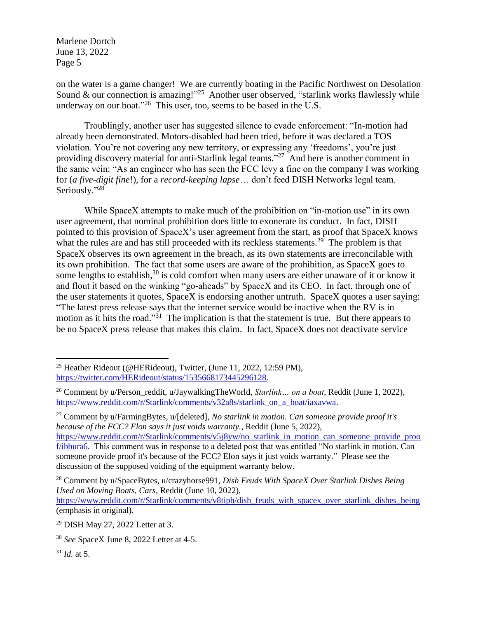on the water is a game changer! We are currently boating in the Pacific Northwest on Desolation Sound & our connection is amazing!"<sup>25</sup> Another user observed, "starlink works flawlessly while underway on our boat."<sup>26</sup> This user, too, seems to be based in the U.S.

Troublingly, another user has suggested silence to evade enforcement: "In-motion had already been demonstrated. Motors-disabled had been tried, before it was declared a TOS violation. You're not covering any new territory, or expressing any 'freedoms', you're just providing discovery material for anti-Starlink legal teams."<sup>27</sup> And here is another comment in the same vein: "As an engineer who has seen the FCC levy a fine on the company I was working for (*a five-digit fine*!), for a *record-keeping lapse*… don't feed DISH Networks legal team. Seriously."28

While SpaceX attempts to make much of the prohibition on "in-motion use" in its own user agreement, that nominal prohibition does little to exonerate its conduct. In fact, DISH pointed to this provision of SpaceX's user agreement from the start, as proof that SpaceX knows what the rules are and has still proceeded with its reckless statements.<sup>29</sup> The problem is that SpaceX observes its own agreement in the breach, as its own statements are irreconcilable with its own prohibition. The fact that some users are aware of the prohibition, as SpaceX goes to some lengths to establish,<sup>30</sup> is cold comfort when many users are either unaware of it or know it and flout it based on the winking "go-aheads" by SpaceX and its CEO. In fact, through one of the user statements it quotes, SpaceX is endorsing another untruth. SpaceX quotes a user saying: "The latest press release says that the internet service would be inactive when the RV is in motion as it hits the road."<sup>31</sup> The implication is that the statement is true. But there appears to be no SpaceX press release that makes this claim. In fact, SpaceX does not deactivate service

<sup>27</sup> Comment by u/FarmingBytes, u/[deleted], *No starlink in motion. Can someone provide proof it's because of the FCC? Elon says it just voids warranty.*, Reddit (June 5, 2022), [https://www.reddit.com/r/Starlink/comments/v5j8yw/no\\_starlink\\_in\\_motion\\_can\\_someone\\_provide\\_proo](https://www.reddit.com/r/Starlink/comments/v5j8yw/no_starlink_in_motion_can_someone_provide_proof/ibbura6) [f/ibbura6.](https://www.reddit.com/r/Starlink/comments/v5j8yw/no_starlink_in_motion_can_someone_provide_proof/ibbura6) This comment was in response to a deleted post that was entitled "No starlink in motion. Can someone provide proof it's because of the FCC? Elon says it just voids warranty." Please see the discussion of the supposed voiding of the equipment warranty below.

<sup>31</sup> *Id.* at 5.

 $\overline{a}$ 

<sup>&</sup>lt;sup>25</sup> Heather Rideout (@HERideout), Twitter, (June 11, 2022, 12:59 PM), [https://twitter.com/HERideout/status/1535668173445296128.](https://twitter.com/HERideout/status/1535668173445296128)

<sup>&</sup>lt;sup>26</sup> Comment by u/Person\_reddit, u/JaywalkingTheWorld, *Starlink… on a boat*, Reddit (June 1, 2022), [https://www.reddit.com/r/Starlink/comments/v32a8s/starlink\\_on\\_a\\_boat/iaxavwa.](https://www.reddit.com/r/Starlink/comments/v32a8s/starlink_on_a_boat/iaxavwa)

<sup>28</sup> Comment by u/SpaceBytes, u/crazyhorse991, *Dish Feuds With SpaceX Over Starlink Dishes Being Used on Moving Boats, Cars*, Reddit (June 10, 2022),

[https://www.reddit.com/r/Starlink/comments/v8tiph/dish\\_feuds\\_with\\_spacex\\_over\\_starlink\\_dishes\\_being](https://www.reddit.com/r/Starlink/comments/v8tiph/dish_feuds_with_spacex_over_starlink_dishes_being) (emphasis in original).

<sup>29</sup> DISH May 27, 2022 Letter at 3.

<sup>30</sup> *See* SpaceX June 8, 2022 Letter at 4-5.